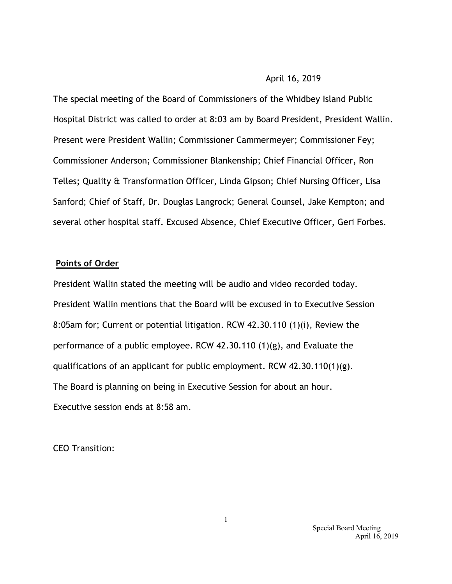## April 16, 2019

The special meeting of the Board of Commissioners of the Whidbey Island Public Hospital District was called to order at 8:03 am by Board President, President Wallin. Present were President Wallin; Commissioner Cammermeyer; Commissioner Fey; Commissioner Anderson; Commissioner Blankenship; Chief Financial Officer, Ron Telles; Quality & Transformation Officer, Linda Gipson; Chief Nursing Officer, Lisa Sanford; Chief of Staff, Dr. Douglas Langrock; General Counsel, Jake Kempton; and several other hospital staff. Excused Absence, Chief Executive Officer, Geri Forbes.

## **Points of Order**

President Wallin stated the meeting will be audio and video recorded today. President Wallin mentions that the Board will be excused in to Executive Session 8:05am for; Current or potential litigation. RCW 42.30.110 (1)(i), Review the performance of a public employee. RCW 42.30.110 (1)(g), and Evaluate the qualifications of an applicant for public employment. RCW 42.30.110(1)(g). The Board is planning on being in Executive Session for about an hour. Executive session ends at 8:58 am.

CEO Transition:

 Special Board Meeting April 16, 2019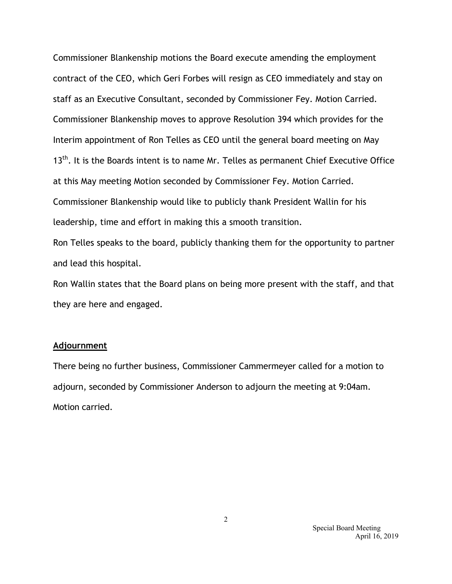Commissioner Blankenship motions the Board execute amending the employment contract of the CEO, which Geri Forbes will resign as CEO immediately and stay on staff as an Executive Consultant, seconded by Commissioner Fey. Motion Carried. Commissioner Blankenship moves to approve Resolution 394 which provides for the Interim appointment of Ron Telles as CEO until the general board meeting on May  $13<sup>th</sup>$ . It is the Boards intent is to name Mr. Telles as permanent Chief Executive Office at this May meeting Motion seconded by Commissioner Fey. Motion Carried. Commissioner Blankenship would like to publicly thank President Wallin for his leadership, time and effort in making this a smooth transition.

Ron Telles speaks to the board, publicly thanking them for the opportunity to partner and lead this hospital.

Ron Wallin states that the Board plans on being more present with the staff, and that they are here and engaged.

## **Adjournment**

There being no further business, Commissioner Cammermeyer called for a motion to adjourn, seconded by Commissioner Anderson to adjourn the meeting at 9:04am. Motion carried.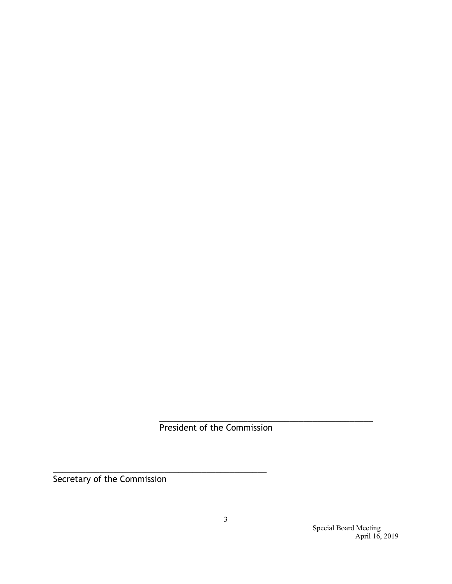President of the Commission

\_\_\_\_\_\_\_\_\_\_\_\_\_\_\_\_\_\_\_\_\_\_\_\_\_\_\_\_\_\_\_\_\_\_\_\_\_\_\_\_\_\_\_\_\_\_

Secretary of the Commission

\_\_\_\_\_\_\_\_\_\_\_\_\_\_\_\_\_\_\_\_\_\_\_\_\_\_\_\_\_\_\_\_\_\_\_\_\_\_\_\_\_\_\_\_\_\_